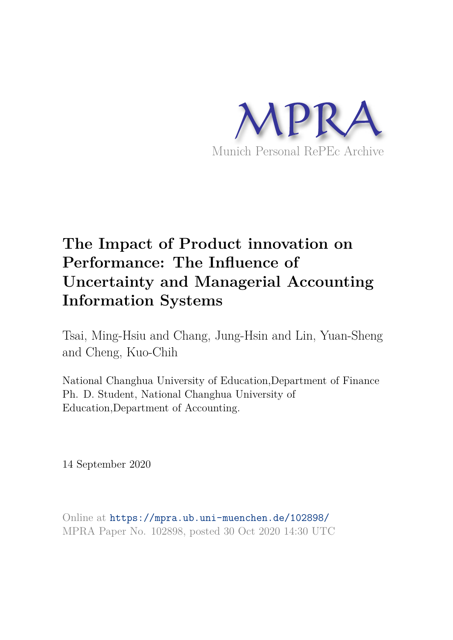

# **The Impact of Product innovation on Performance: The Influence of Uncertainty and Managerial Accounting Information Systems**

Tsai, Ming-Hsiu and Chang, Jung-Hsin and Lin, Yuan-Sheng and Cheng, Kuo-Chih

National Changhua University of Education,Department of Finance Ph. D. Student, National Changhua University of Education,Department of Accounting.

14 September 2020

Online at https://mpra.ub.uni-muenchen.de/102898/ MPRA Paper No. 102898, posted 30 Oct 2020 14:30 UTC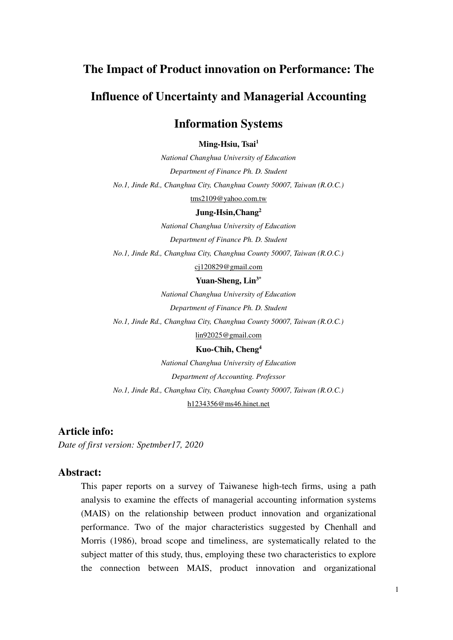# **The Impact of Product innovation on Performance: The**

# **Influence of Uncertainty and Managerial Accounting**

# **Information Systems**

**Ming-Hsiu, Tsai<sup>1</sup>**

*National Changhua University of Education Department of Finance Ph. D. Student No.1, Jinde Rd., Changhua City, Changhua County 50007, Taiwan (R.O.C.)* 

tms2109@yahoo.com.tw

## **Jung-Hsin,Chang<sup>2</sup>**

*National Changhua University of Education Department of Finance Ph. D. Student No.1, Jinde Rd., Changhua City, Changhua County 50007, Taiwan (R.O.C.)* 

cj120829@gmail.com

#### **Yuan-Sheng, Lin 3\***

*National Changhua University of Education Department of Finance Ph. D. Student No.1, Jinde Rd., Changhua City, Changhua County 50007, Taiwan (R.O.C.)* 

[lin92025@gmail.com](mailto:lin92025@gmail.com) 

#### **Kuo-Chih, Cheng<sup>4</sup>**

*National Changhua University of Education Department of Accounting. Professor No.1, Jinde Rd., Changhua City, Changhua County 50007, Taiwan (R.O.C.)*  h1234356@ms46.hinet.net

## **Article info:**

*Date of first version: Spetmber17, 2020*

## **Abstract:**

This paper reports on a survey of Taiwanese high-tech firms, using a path analysis to examine the effects of managerial accounting information systems (MAIS) on the relationship between product innovation and organizational performance. Two of the major characteristics suggested by Chenhall and Morris (1986), broad scope and timeliness, are systematically related to the subject matter of this study, thus, employing these two characteristics to explore the connection between MAIS, product innovation and organizational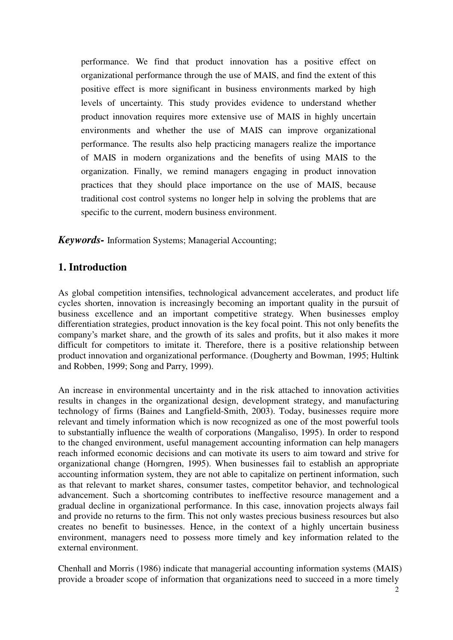performance. We find that product innovation has a positive effect on organizational performance through the use of MAIS, and find the extent of this positive effect is more significant in business environments marked by high levels of uncertainty. This study provides evidence to understand whether product innovation requires more extensive use of MAIS in highly uncertain environments and whether the use of MAIS can improve organizational performance. The results also help practicing managers realize the importance of MAIS in modern organizations and the benefits of using MAIS to the organization. Finally, we remind managers engaging in product innovation practices that they should place importance on the use of MAIS, because traditional cost control systems no longer help in solving the problems that are specific to the current, modern business environment.

*Keywords-* Information Systems; Managerial Accounting;

# **1. Introduction**

As global competition intensifies, technological advancement accelerates, and product life cycles shorten, innovation is increasingly becoming an important quality in the pursuit of business excellence and an important competitive strategy. When businesses employ differentiation strategies, product innovation is the key focal point. This not only benefits the company's market share, and the growth of its sales and profits, but it also makes it more difficult for competitors to imitate it. Therefore, there is a positive relationship between product innovation and organizational performance. (Dougherty and Bowman, 1995; Hultink and Robben, 1999; Song and Parry, 1999).

An increase in environmental uncertainty and in the risk attached to innovation activities results in changes in the organizational design, development strategy, and manufacturing technology of firms (Baines and Langfield-Smith, 2003). Today, businesses require more relevant and timely information which is now recognized as one of the most powerful tools to substantially influence the wealth of corporations (Mangaliso, 1995). In order to respond to the changed environment, useful management accounting information can help managers reach informed economic decisions and can motivate its users to aim toward and strive for organizational change (Horngren, 1995). When businesses fail to establish an appropriate accounting information system, they are not able to capitalize on pertinent information, such as that relevant to market shares, consumer tastes, competitor behavior, and technological advancement. Such a shortcoming contributes to ineffective resource management and a gradual decline in organizational performance. In this case, innovation projects always fail and provide no returns to the firm. This not only wastes precious business resources but also creates no benefit to businesses. Hence, in the context of a highly uncertain business environment, managers need to possess more timely and key information related to the external environment.

Chenhall and Morris (1986) indicate that managerial accounting information systems (MAIS) provide a broader scope of information that organizations need to succeed in a more timely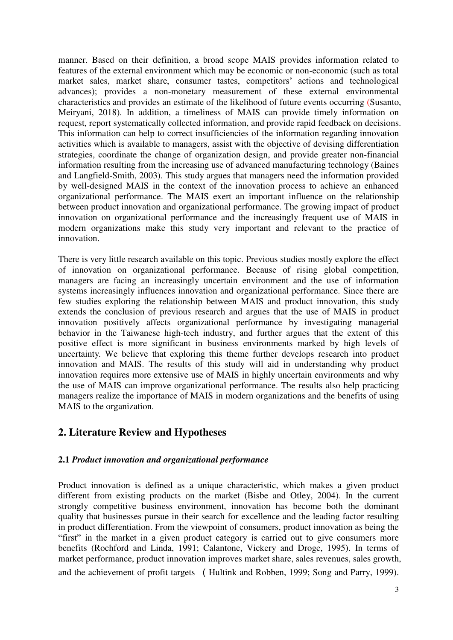manner. Based on their definition, a broad scope MAIS provides information related to features of the external environment which may be economic or non-economic (such as total market sales, market share, consumer tastes, competitors' actions and technological advances); provides a non-monetary measurement of these external environmental characteristics and provides an estimate of the likelihood of future events occurring (Susanto, Meiryani, 2018). In addition, a timeliness of MAIS can provide timely information on request, report systematically collected information, and provide rapid feedback on decisions. This information can help to correct insufficiencies of the information regarding innovation activities which is available to managers, assist with the objective of devising differentiation strategies, coordinate the change of organization design, and provide greater non-financial information resulting from the increasing use of advanced manufacturing technology (Baines and Langfield-Smith, 2003). This study argues that managers need the information provided by well-designed MAIS in the context of the innovation process to achieve an enhanced organizational performance. The MAIS exert an important influence on the relationship between product innovation and organizational performance. The growing impact of product innovation on organizational performance and the increasingly frequent use of MAIS in modern organizations make this study very important and relevant to the practice of innovation.

There is very little research available on this topic. Previous studies mostly explore the effect of innovation on organizational performance. Because of rising global competition, managers are facing an increasingly uncertain environment and the use of information systems increasingly influences innovation and organizational performance. Since there are few studies exploring the relationship between MAIS and product innovation, this study extends the conclusion of previous research and argues that the use of MAIS in product innovation positively affects organizational performance by investigating managerial behavior in the Taiwanese high-tech industry, and further argues that the extent of this positive effect is more significant in business environments marked by high levels of uncertainty. We believe that exploring this theme further develops research into product innovation and MAIS. The results of this study will aid in understanding why product innovation requires more extensive use of MAIS in highly uncertain environments and why the use of MAIS can improve organizational performance. The results also help practicing managers realize the importance of MAIS in modern organizations and the benefits of using MAIS to the organization.

# **2. Literature Review and Hypotheses**

## **2.1** *Product innovation and organizational performance*

Product innovation is defined as a unique characteristic, which makes a given product different from existing products on the market (Bisbe and Otley, 2004). In the current strongly competitive business environment, innovation has become both the dominant quality that businesses pursue in their search for excellence and the leading factor resulting in product differentiation. From the viewpoint of consumers, product innovation as being the "first" in the market in a given product category is carried out to give consumers more benefits (Rochford and Linda, 1991; Calantone, Vickery and Droge, 1995). In terms of market performance, product innovation improves market share, sales revenues, sales growth, and the achievement of profit targets (Hultink and Robben, 1999; Song and Parry, 1999).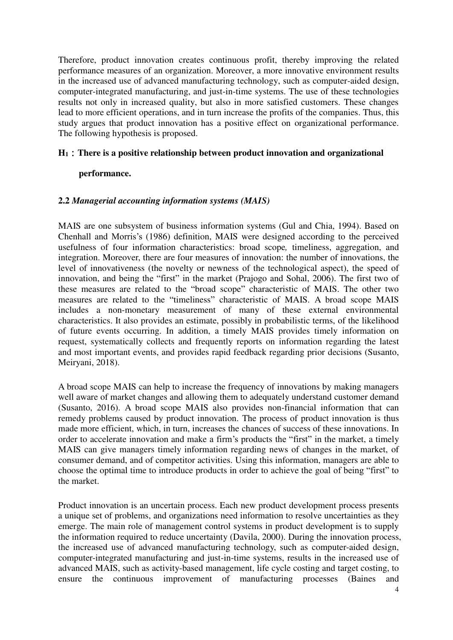Therefore, product innovation creates continuous profit, thereby improving the related performance measures of an organization. Moreover, a more innovative environment results in the increased use of advanced manufacturing technology, such as computer-aided design, computer-integrated manufacturing, and just-in-time systems. The use of these technologies results not only in increased quality, but also in more satisfied customers. These changes lead to more efficient operations, and in turn increase the profits of the companies. Thus, this study argues that product innovation has a positive effect on organizational performance. The following hypothesis is proposed.

## **H1**:**There is a positive relationship between product innovation and organizational**

## **performance.**

## **2.2** *Managerial accounting information systems (MAIS)*

MAIS are one subsystem of business information systems (Gul and Chia, 1994). Based on Chenhall and Morris's (1986) definition, MAIS were designed according to the perceived usefulness of four information characteristics: broad scope*,* timeliness, aggregation, and integration. Moreover, there are four measures of innovation: the number of innovations, the level of innovativeness (the novelty or newness of the technological aspect), the speed of innovation, and being the "first" in the market (Prajogo and Sohal, 2006). The first two of these measures are related to the "broad scope" characteristic of MAIS. The other two measures are related to the "timeliness" characteristic of MAIS. A broad scope MAIS includes a non-monetary measurement of many of these external environmental characteristics. It also provides an estimate, possibly in probabilistic terms, of the likelihood of future events occurring. In addition, a timely MAIS provides timely information on request, systematically collects and frequently reports on information regarding the latest and most important events, and provides rapid feedback regarding prior decisions (Susanto, Meiryani, 2018).

A broad scope MAIS can help to increase the frequency of innovations by making managers well aware of market changes and allowing them to adequately understand customer demand (Susanto, 2016). A broad scope MAIS also provides non-financial information that can remedy problems caused by product innovation. The process of product innovation is thus made more efficient, which, in turn, increases the chances of success of these innovations. In order to accelerate innovation and make a firm's products the "first" in the market, a timely MAIS can give managers timely information regarding news of changes in the market, of consumer demand, and of competitor activities. Using this information, managers are able to choose the optimal time to introduce products in order to achieve the goal of being "first" to the market.

Product innovation is an uncertain process. Each new product development process presents a unique set of problems, and organizations need information to resolve uncertainties as they emerge. The main role of management control systems in product development is to supply the information required to reduce uncertainty (Davila, 2000). During the innovation process, the increased use of advanced manufacturing technology, such as computer-aided design, computer-integrated manufacturing and just-in-time systems, results in the increased use of advanced MAIS, such as activity-based management, life cycle costing and target costing, to ensure the continuous improvement of manufacturing processes (Baines and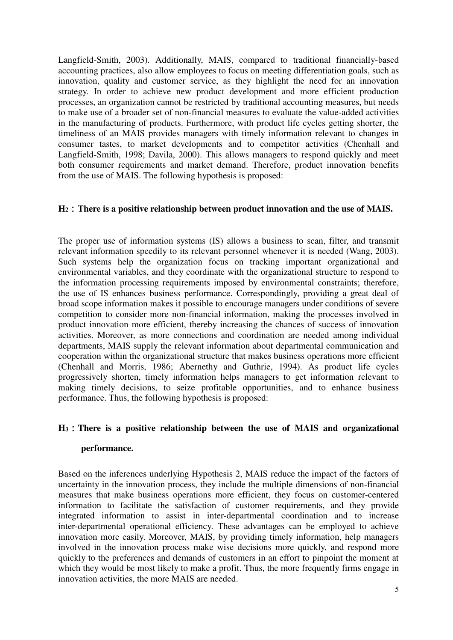Langfield-Smith, 2003). Additionally, MAIS, compared to traditional financially-based accounting practices, also allow employees to focus on meeting differentiation goals, such as innovation, quality and customer service, as they highlight the need for an innovation strategy. In order to achieve new product development and more efficient production processes, an organization cannot be restricted by traditional accounting measures, but needs to make use of a broader set of non-financial measures to evaluate the value-added activities in the manufacturing of products. Furthermore, with product life cycles getting shorter, the timeliness of an MAIS provides managers with timely information relevant to changes in consumer tastes, to market developments and to competitor activities (Chenhall and Langfield-Smith, 1998; Davila, 2000). This allows managers to respond quickly and meet both consumer requirements and market demand. Therefore, product innovation benefits from the use of MAIS. The following hypothesis is proposed:

## **H2**:**There is a positive relationship between product innovation and the use of MAIS.**

The proper use of information systems (IS) allows a business to scan, filter, and transmit relevant information speedily to its relevant personnel whenever it is needed (Wang, 2003). Such systems help the organization focus on tracking important organizational and environmental variables, and they coordinate with the organizational structure to respond to the information processing requirements imposed by environmental constraints; therefore, the use of IS enhances business performance. Correspondingly, providing a great deal of broad scope information makes it possible to encourage managers under conditions of severe competition to consider more non-financial information, making the processes involved in product innovation more efficient, thereby increasing the chances of success of innovation activities. Moreover, as more connections and coordination are needed among individual departments, MAIS supply the relevant information about departmental communication and cooperation within the organizational structure that makes business operations more efficient (Chenhall and Morris, 1986; Abernethy and Guthrie, 1994). As product life cycles progressively shorten, timely information helps managers to get information relevant to making timely decisions, to seize profitable opportunities, and to enhance business performance. Thus, the following hypothesis is proposed:

## **H3**:**There is a positive relationship between the use of MAIS and organizational**

#### **performance.**

Based on the inferences underlying Hypothesis 2, MAIS reduce the impact of the factors of uncertainty in the innovation process, they include the multiple dimensions of non-financial measures that make business operations more efficient, they focus on customer-centered information to facilitate the satisfaction of customer requirements, and they provide integrated information to assist in inter-departmental coordination and to increase inter-departmental operational efficiency. These advantages can be employed to achieve innovation more easily. Moreover, MAIS, by providing timely information, help managers involved in the innovation process make wise decisions more quickly, and respond more quickly to the preferences and demands of customers in an effort to pinpoint the moment at which they would be most likely to make a profit. Thus, the more frequently firms engage in innovation activities, the more MAIS are needed.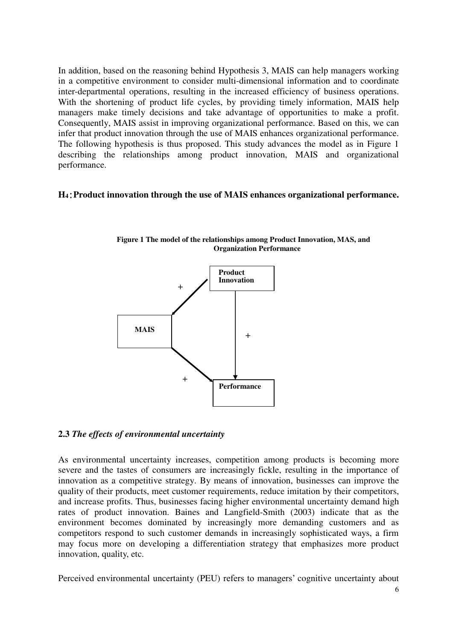In addition, based on the reasoning behind Hypothesis 3, MAIS can help managers working in a competitive environment to consider multi-dimensional information and to coordinate inter-departmental operations, resulting in the increased efficiency of business operations. With the shortening of product life cycles, by providing timely information, MAIS help managers make timely decisions and take advantage of opportunities to make a profit. Consequently, MAIS assist in improving organizational performance. Based on this, we can infer that product innovation through the use of MAIS enhances organizational performance. The following hypothesis is thus proposed. This study advances the model as in Figure 1 describing the relationships among product innovation, MAIS and organizational performance.

## **H4**:**Product innovation through the use of MAIS enhances organizational performance.**



**Figure 1 The model of the relationships among Product Innovation, MAS, and Organization Performance** 

## **2.3** *The effects of environmental uncertainty*

As environmental uncertainty increases, competition among products is becoming more severe and the tastes of consumers are increasingly fickle, resulting in the importance of innovation as a competitive strategy. By means of innovation, businesses can improve the quality of their products, meet customer requirements, reduce imitation by their competitors, and increase profits. Thus, businesses facing higher environmental uncertainty demand high rates of product innovation. Baines and Langfield-Smith (2003) indicate that as the environment becomes dominated by increasingly more demanding customers and as competitors respond to such customer demands in increasingly sophisticated ways, a firm may focus more on developing a differentiation strategy that emphasizes more product innovation, quality, etc.

Perceived environmental uncertainty (PEU) refers to managers' cognitive uncertainty about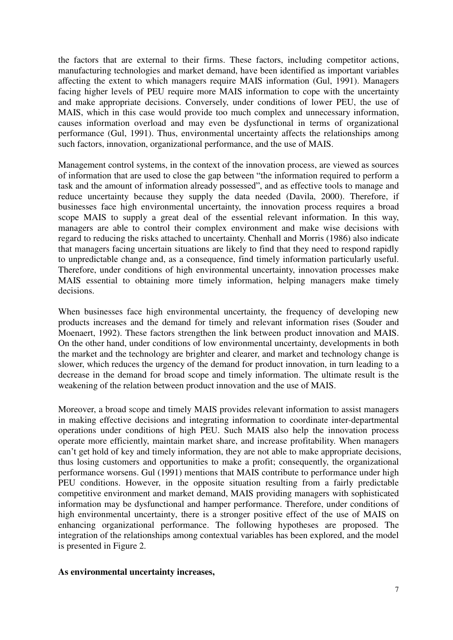the factors that are external to their firms. These factors, including competitor actions, manufacturing technologies and market demand, have been identified as important variables affecting the extent to which managers require MAIS information (Gul, 1991). Managers facing higher levels of PEU require more MAIS information to cope with the uncertainty and make appropriate decisions. Conversely, under conditions of lower PEU, the use of MAIS, which in this case would provide too much complex and unnecessary information, causes information overload and may even be dysfunctional in terms of organizational performance (Gul, 1991). Thus, environmental uncertainty affects the relationships among such factors, innovation, organizational performance, and the use of MAIS.

Management control systems, in the context of the innovation process, are viewed as sources of information that are used to close the gap between "the information required to perform a task and the amount of information already possessed", and as effective tools to manage and reduce uncertainty because they supply the data needed (Davila, 2000). Therefore, if businesses face high environmental uncertainty, the innovation process requires a broad scope MAIS to supply a great deal of the essential relevant information. In this way, managers are able to control their complex environment and make wise decisions with regard to reducing the risks attached to uncertainty. Chenhall and Morris (1986) also indicate that managers facing uncertain situations are likely to find that they need to respond rapidly to unpredictable change and, as a consequence, find timely information particularly useful. Therefore, under conditions of high environmental uncertainty, innovation processes make MAIS essential to obtaining more timely information, helping managers make timely decisions.

When businesses face high environmental uncertainty, the frequency of developing new products increases and the demand for timely and relevant information rises (Souder and Moenaert, 1992). These factors strengthen the link between product innovation and MAIS. On the other hand, under conditions of low environmental uncertainty, developments in both the market and the technology are brighter and clearer, and market and technology change is slower, which reduces the urgency of the demand for product innovation, in turn leading to a decrease in the demand for broad scope and timely information. The ultimate result is the weakening of the relation between product innovation and the use of MAIS.

Moreover, a broad scope and timely MAIS provides relevant information to assist managers in making effective decisions and integrating information to coordinate inter-departmental operations under conditions of high PEU. Such MAIS also help the innovation process operate more efficiently, maintain market share, and increase profitability. When managers can't get hold of key and timely information, they are not able to make appropriate decisions, thus losing customers and opportunities to make a profit; consequently, the organizational performance worsens. Gul (1991) mentions that MAIS contribute to performance under high PEU conditions. However, in the opposite situation resulting from a fairly predictable competitive environment and market demand, MAIS providing managers with sophisticated information may be dysfunctional and hamper performance. Therefore, under conditions of high environmental uncertainty, there is a stronger positive effect of the use of MAIS on enhancing organizational performance. The following hypotheses are proposed. The integration of the relationships among contextual variables has been explored, and the model is presented in Figure 2.

#### **As environmental uncertainty increases,**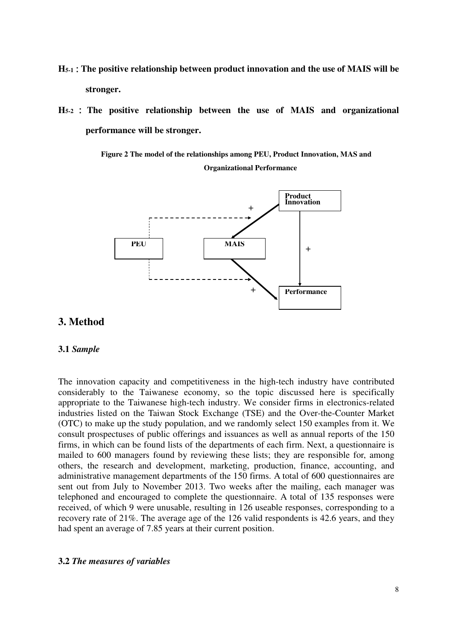- **H5-1**:**The positive relationship between product innovation and the use of MAIS will be stronger.**
- **H5-2** : **The positive relationship between the use of MAIS and organizational performance will be stronger.**

**Figure 2 The model of the relationships among PEU, Product Innovation, MAS and Organizational Performance** 



## **3. Method**

## **3.1** *Sample*

The innovation capacity and competitiveness in the high-tech industry have contributed considerably to the Taiwanese economy, so the topic discussed here is specifically appropriate to the Taiwanese high-tech industry. We consider firms in electronics-related industries listed on the Taiwan Stock Exchange (TSE) and the Over-the-Counter Market (OTC) to make up the study population, and we randomly select 150 examples from it. We consult prospectuses of public offerings and issuances as well as annual reports of the 150 firms, in which can be found lists of the departments of each firm. Next, a questionnaire is mailed to 600 managers found by reviewing these lists; they are responsible for, among others, the research and development, marketing, production, finance, accounting, and administrative management departments of the 150 firms. A total of 600 questionnaires are sent out from July to November 2013. Two weeks after the mailing, each manager was telephoned and encouraged to complete the questionnaire. A total of 135 responses were received, of which 9 were unusable, resulting in 126 useable responses, corresponding to a recovery rate of 21%. The average age of the 126 valid respondents is 42.6 years, and they had spent an average of 7.85 years at their current position.

#### **3.2** *The measures of variables*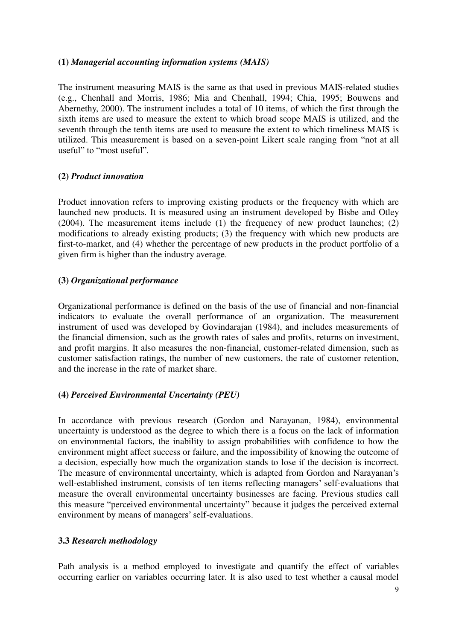## **(1)** *Managerial accounting information systems (MAIS)*

The instrument measuring MAIS is the same as that used in previous MAIS-related studies (e.g., Chenhall and Morris, 1986; Mia and Chenhall, 1994; Chia, 1995; Bouwens and Abernethy, 2000). The instrument includes a total of 10 items, of which the first through the sixth items are used to measure the extent to which broad scope MAIS is utilized, and the seventh through the tenth items are used to measure the extent to which timeliness MAIS is utilized. This measurement is based on a seven-point Likert scale ranging from "not at all useful" to "most useful".

## **(2)** *Product innovation*

Product innovation refers to improving existing products or the frequency with which are launched new products. It is measured using an instrument developed by Bisbe and Otley (2004). The measurement items include (1) the frequency of new product launches; (2) modifications to already existing products; (3) the frequency with which new products are first-to-market, and (4) whether the percentage of new products in the product portfolio of a given firm is higher than the industry average.

## **(3)** *Organizational performance*

Organizational performance is defined on the basis of the use of financial and non-financial indicators to evaluate the overall performance of an organization. The measurement instrument of used was developed by Govindarajan (1984), and includes measurements of the financial dimension, such as the growth rates of sales and profits, returns on investment, and profit margins. It also measures the non-financial, customer-related dimension, such as customer satisfaction ratings, the number of new customers, the rate of customer retention, and the increase in the rate of market share.

## **(4)** *Perceived Environmental Uncertainty (PEU)*

In accordance with previous research (Gordon and Narayanan, 1984), environmental uncertainty is understood as the degree to which there is a focus on the lack of information on environmental factors, the inability to assign probabilities with confidence to how the environment might affect success or failure, and the impossibility of knowing the outcome of a decision, especially how much the organization stands to lose if the decision is incorrect. The measure of environmental uncertainty, which is adapted from Gordon and Narayanan's well-established instrument, consists of ten items reflecting managers' self-evaluations that measure the overall environmental uncertainty businesses are facing. Previous studies call this measure "perceived environmental uncertainty" because it judges the perceived external environment by means of managers' self-evaluations.

## **3.3** *Research methodology*

Path analysis is a method employed to investigate and quantify the effect of variables occurring earlier on variables occurring later. It is also used to test whether a causal model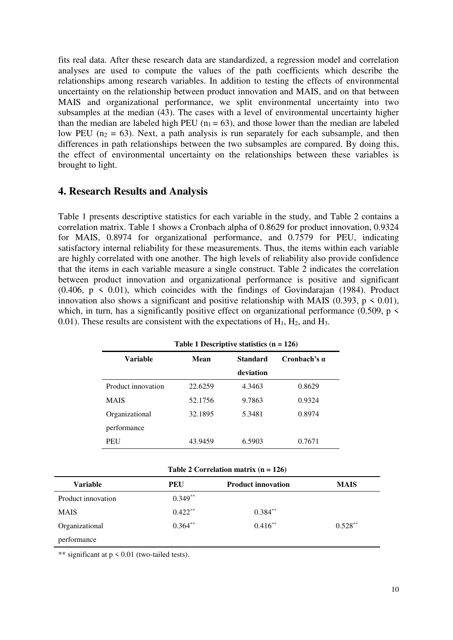fits real data. After these research data are standardized, a regression model and correlation analyses are used to compute the values of the path coefficients which describe the relationships among research variables. In addition to testing the effects of environmental uncertainty on the relationship between product innovation and MAIS, and on that between MAIS and organizational performance, we split environmental uncertainty into two subsamples at the median (43). The cases with a level of environmental uncertainty higher than the median are labeled high PEU ( $n_1 = 63$ ), and those lower than the median are labeled low PEU ( $n_2 = 63$ ). Next, a path analysis is run separately for each subsample, and then differences in path relationships between the two subsamples are compared. By doing this, the effect of environmental uncertainty on the relationships between these variables is brought to light.

## **4. Research Results and Analysis**

Table 1 presents descriptive statistics for each variable in the study, and Table 2 contains a correlation matrix. Table 1 shows a Cronbach alpha of 0.8629 for product innovation, 0.9324 for MAIS, 0.8974 for organizational performance, and 0.7579 for PEU, indicating satisfactory internal reliability for these measurements. Thus, the items within each variable are highly correlated with one another. The high levels of reliability also provide confidence that the items in each variable measure a single construct. Table 2 indicates the correlation between product innovation and organizational performance is positive and significant  $(0.406, p \le 0.01)$ , which coincides with the findings of Govindarajan (1984). Product innovation also shows a significant and positive relationship with MAIS (0.393,  $p \le 0.01$ ), which, in turn, has a significantly positive effect on organizational performance (0.509,  $p \lt$ 0.01). These results are consistent with the expectations of  $H_1$ ,  $H_2$ , and  $H_3$ .

|                    | rabic 1 Descriptive statistics $(n - 120)$ |                 |                     |  |
|--------------------|--------------------------------------------|-----------------|---------------------|--|
| Variable           | Mean                                       | <b>Standard</b> | Cronbach's $\alpha$ |  |
|                    |                                            | deviation       |                     |  |
| Product innovation | 22.6259                                    | 4.3463          | 0.8629              |  |
| <b>MAIS</b>        | 52.1756                                    | 9.7863          | 0.9324              |  |
| Organizational     | 32.1895                                    | 5.3481          | 0.8974              |  |
| performance        |                                            |                 |                     |  |
| <b>PEU</b>         | 43.9459                                    | 6.5903          | 0.7671              |  |

**Table 1 Descriptive statistics (n = 126)** 

| Table 2 Correlation matrix $(n = 126)$ |  |
|----------------------------------------|--|
|----------------------------------------|--|

| <b>Variable</b>    | <b>PEU</b> | <b>Product innovation</b> | <b>MAIS</b> |
|--------------------|------------|---------------------------|-------------|
| Product innovation | $0.349**$  |                           |             |
| <b>MAIS</b>        | $0.422***$ | $0.384***$                |             |
| Organizational     | $0.364**$  | $0.416**$                 | $0.528**$   |
| performance        |            |                           |             |

\*\* significant at  $p \le 0.01$  (two-tailed tests).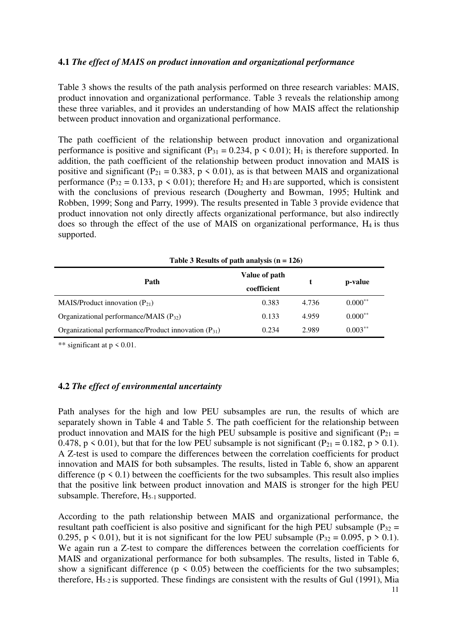## **4.1** *The effect of MAIS on product innovation and organizational performance*

Table 3 shows the results of the path analysis performed on three research variables: MAIS, product innovation and organizational performance. Table 3 reveals the relationship among these three variables, and it provides an understanding of how MAIS affect the relationship between product innovation and organizational performance.

The path coefficient of the relationship between product innovation and organizational performance is positive and significant ( $P_{31} = 0.234$ ,  $p \le 0.01$ ); H<sub>1</sub> is therefore supported. In addition, the path coefficient of the relationship between product innovation and MAIS is positive and significant (P<sub>21</sub> = 0.383, p < 0.01), as is that between MAIS and organizational performance (P<sub>32</sub> = 0.133, p < 0.01); therefore H<sub>2</sub> and H<sub>3</sub> are supported, which is consistent with the conclusions of previous research (Dougherty and Bowman, 1995; Hultink and Robben, 1999; Song and Parry, 1999). The results presented in Table 3 provide evidence that product innovation not only directly affects organizational performance, but also indirectly does so through the effect of the use of MAIS on organizational performance,  $H_4$  is thus supported.

| Path                                                     | Value of path<br>coefficient |       | p-value    |
|----------------------------------------------------------|------------------------------|-------|------------|
| MAIS/Product innovation $(P_{21})$                       | 0.383                        | 4.736 | $0.000**$  |
| Organizational performance/MAIS $(P_{32})$               | 0.133                        | 4.959 | $0.000**$  |
| Organizational performance/Product innovation $(P_{31})$ | 0.234                        | 2.989 | $0.003***$ |

**Table 3 Results of path analysis (n = 126)** 

\*\* significant at  $p \le 0.01$ .

## **4.2** *The effect of environmental uncertainty*

Path analyses for the high and low PEU subsamples are run, the results of which are separately shown in Table 4 and Table 5. The path coefficient for the relationship between product innovation and MAIS for the high PEU subsample is positive and significant ( $P_{21}$  = 0.478,  $p \le 0.01$ ), but that for the low PEU subsample is not significant (P<sub>21</sub> = 0.182, p > 0.1). A Z-test is used to compare the differences between the correlation coefficients for product innovation and MAIS for both subsamples. The results, listed in Table 6, show an apparent difference ( $p \le 0.1$ ) between the coefficients for the two subsamples. This result also implies that the positive link between product innovation and MAIS is stronger for the high PEU subsample. Therefore,  $H_{5-1}$  supported.

According to the path relationship between MAIS and organizational performance, the resultant path coefficient is also positive and significant for the high PEU subsample ( $P_{32}$  = 0.295,  $p \le 0.01$ ), but it is not significant for the low PEU subsample (P<sub>32</sub> = 0.095, p > 0.1). We again run a Z-test to compare the differences between the correlation coefficients for MAIS and organizational performance for both subsamples. The results, listed in Table 6, show a significant difference ( $p \le 0.05$ ) between the coefficients for the two subsamples; therefore,  $H_{5-2}$  is supported. These findings are consistent with the results of Gul (1991), Mia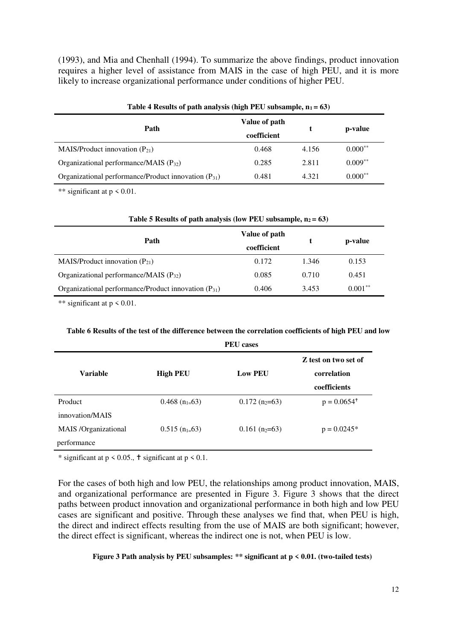(1993), and Mia and Chenhall (1994). To summarize the above findings, product innovation requires a higher level of assistance from MAIS in the case of high PEU, and it is more likely to increase organizational performance under conditions of higher PEU.

| Table 4 Results of path analysis (high PEU subsample, $n_1 = 63$ ) |               |       |            |
|--------------------------------------------------------------------|---------------|-------|------------|
| Path                                                               | Value of path |       | p-value    |
|                                                                    | coefficient   |       |            |
| MAIS/Product innovation $(P_{21})$                                 | 0.468         | 4.156 | $0.000***$ |
| Organizational performance/MAIS $(P_{32})$                         | 0.285         | 2.811 | $0.009***$ |
| Organizational performance/Product innovation $(P_{31})$           | 0.481         | 4.321 | $0.000**$  |

\*\* significant at  $p \le 0.01$ .

| Table 5 Results of path analysis (low PEU subsample, $n_2 = 63$ ) |               |       |            |  |
|-------------------------------------------------------------------|---------------|-------|------------|--|
| Path                                                              | Value of path |       | p-value    |  |
|                                                                   | coefficient   |       |            |  |
| MAIS/Product innovation $(P_{21})$                                | 0.172         | 1.346 | 0.153      |  |
| Organizational performance/MAIS $(P_{32})$                        | 0.085         | 0.710 | 0.451      |  |
| Organizational performance/Product innovation $(P_{31})$          | 0.406         | 3.453 | $0.001***$ |  |

\*\* significant at p < 0.01.

#### **Table 6 Results of the test of the difference between the correlation coefficients of high PEU and low**

|                      | <b>PEU</b> cases             |                              |                                                     |
|----------------------|------------------------------|------------------------------|-----------------------------------------------------|
| <b>Variable</b>      | <b>High PEU</b>              | <b>Low PEU</b>               | Z test on two set of<br>correlation<br>coefficients |
| Product              | $0.468$ (n <sub>1=</sub> 63) | $0.172$ (n <sub>2</sub> =63) | $p = 0.0654^+$                                      |
| innovation/MAIS      |                              |                              |                                                     |
| MAIS /Organizational | $0.515$ (n <sub>1=</sub> 63) | $0.161$ (n <sub>2</sub> =63) | $p = 0.0245*$                                       |
| performance          |                              |                              |                                                     |

\* significant at  $p \le 0.05$ .,  $\dagger$  significant at  $p \le 0.1$ .

For the cases of both high and low PEU, the relationships among product innovation, MAIS, and organizational performance are presented in Figure 3. Figure 3 shows that the direct paths between product innovation and organizational performance in both high and low PEU cases are significant and positive. Through these analyses we find that, when PEU is high, the direct and indirect effects resulting from the use of MAIS are both significant; however, the direct effect is significant, whereas the indirect one is not, when PEU is low.

**Figure 3 Path analysis by PEU subsamples: \*\* significant at p < 0.01. (two-tailed tests)**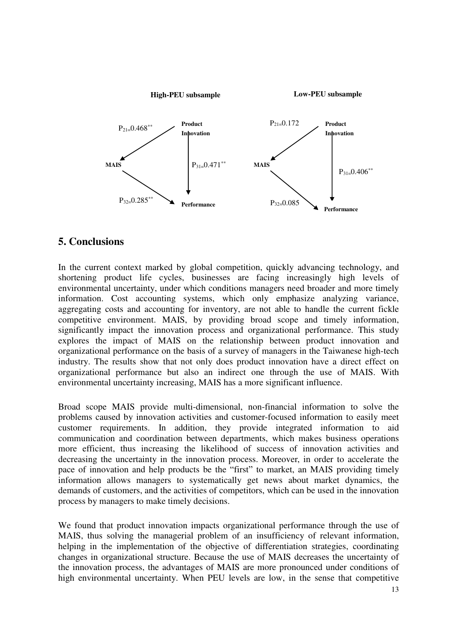

## **5. Conclusions**

In the current context marked by global competition, quickly advancing technology, and shortening product life cycles, businesses are facing increasingly high levels of environmental uncertainty, under which conditions managers need broader and more timely information. Cost accounting systems, which only emphasize analyzing variance, aggregating costs and accounting for inventory, are not able to handle the current fickle competitive environment. MAIS, by providing broad scope and timely information, significantly impact the innovation process and organizational performance. This study explores the impact of MAIS on the relationship between product innovation and organizational performance on the basis of a survey of managers in the Taiwanese high-tech industry. The results show that not only does product innovation have a direct effect on organizational performance but also an indirect one through the use of MAIS. With environmental uncertainty increasing, MAIS has a more significant influence.

Broad scope MAIS provide multi-dimensional, non-financial information to solve the problems caused by innovation activities and customer-focused information to easily meet customer requirements. In addition, they provide integrated information to aid communication and coordination between departments, which makes business operations more efficient, thus increasing the likelihood of success of innovation activities and decreasing the uncertainty in the innovation process. Moreover, in order to accelerate the pace of innovation and help products be the "first" to market, an MAIS providing timely information allows managers to systematically get news about market dynamics, the demands of customers, and the activities of competitors, which can be used in the innovation process by managers to make timely decisions.

We found that product innovation impacts organizational performance through the use of MAIS, thus solving the managerial problem of an insufficiency of relevant information, helping in the implementation of the objective of differentiation strategies, coordinating changes in organizational structure. Because the use of MAIS decreases the uncertainty of the innovation process, the advantages of MAIS are more pronounced under conditions of high environmental uncertainty. When PEU levels are low, in the sense that competitive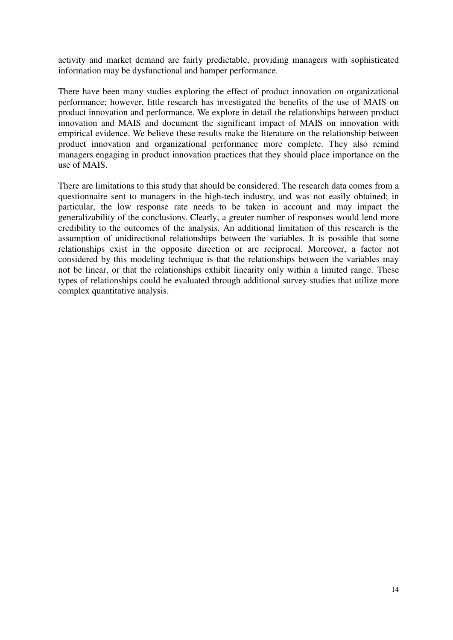activity and market demand are fairly predictable, providing managers with sophisticated information may be dysfunctional and hamper performance.

There have been many studies exploring the effect of product innovation on organizational performance; however, little research has investigated the benefits of the use of MAIS on product innovation and performance. We explore in detail the relationships between product innovation and MAIS and document the significant impact of MAIS on innovation with empirical evidence. We believe these results make the literature on the relationship between product innovation and organizational performance more complete. They also remind managers engaging in product innovation practices that they should place importance on the use of MAIS.

There are limitations to this study that should be considered. The research data comes from a questionnaire sent to managers in the high-tech industry, and was not easily obtained; in particular, the low response rate needs to be taken in account and may impact the generalizability of the conclusions. Clearly, a greater number of responses would lend more credibility to the outcomes of the analysis. An additional limitation of this research is the assumption of unidirectional relationships between the variables. It is possible that some relationships exist in the opposite direction or are reciprocal. Moreover, a factor not considered by this modeling technique is that the relationships between the variables may not be linear, or that the relationships exhibit linearity only within a limited range. These types of relationships could be evaluated through additional survey studies that utilize more complex quantitative analysis.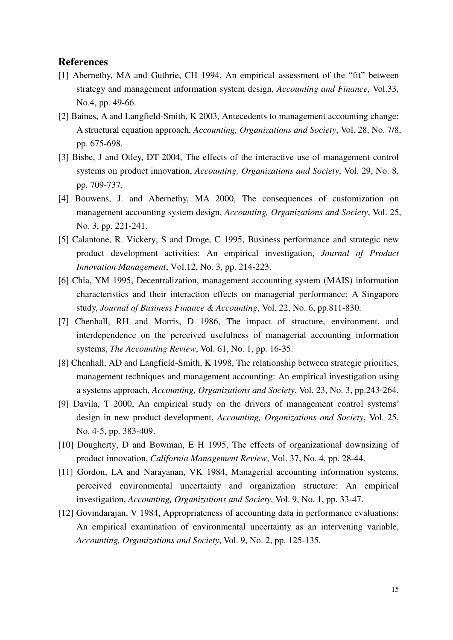#### **References**

- [1] Abernethy, MA and Guthrie, CH 1994, An empirical assessment of the "fit" between strategy and management information system design, *Accounting and Finance*, Vol.33, No.4, pp. 49-66.
- [2] Baines, A and Langfield-Smith, K 2003, Antecedents to management accounting change: A structural equation approach, *Accounting, Organizations and Society*, Vol. 28, No. 7/8, pp. 675-698.
- [3] Bisbe, J and Otley, DT 2004, The effects of the interactive use of management control systems on product innovation, *Accounting, Organizations and Society*, Vol. 29, No. 8, pp. 709-737.
- [4] Bouwens, J. and Abernethy, MA 2000, The consequences of customization on management accounting system design, *Accounting, Organizations and Society*, Vol. 25, No. 3, pp. 221-241.
- [5] Calantone, R. Vickery, S and Droge, C 1995, Business performance and strategic new product development activities: An empirical investigation, *Journal of Product Innovation Management*, Vol.12, No. 3, pp. 214-223.
- [6] Chia, YM 1995, Decentralization, management accounting system (MAIS) information characteristics and their interaction effects on managerial performance: A Singapore study, *Journal of Business Finance & Accounting*, Vol. 22, No. 6, pp.811-830.
- [7] Chenhall, RH and Morris, D 1986, The impact of structure, environment, and interdependence on the perceived usefulness of managerial accounting information systems, *The Accounting Review*, Vol. 61, No. 1, pp. 16-35.
- [8] Chenhall, AD and Langfield-Smith, K 1998, The relationship between strategic priorities, management techniques and management accounting: An empirical investigation using a systems approach, *Accounting, Organizations and Society*, Vol. 23, No. 3, pp.243-264.
- [9] Davila, T 2000, An empirical study on the drivers of management control systems' design in new product development, *Accounting, Organizations and Society*, Vol. 25, No. 4-5, pp. 383-409.
- [10] Dougherty, D and Bowman, E H 1995, The effects of organizational downsizing of product innovation, *California Management Review*, Vol. 37, No. 4, pp. 28-44.
- [11] Gordon, LA and Narayanan, VK 1984, Managerial accounting information systems, perceived environmental uncertainty and organization structure: An empirical investigation, *Accounting, Organizations and Society*, Vol. 9, No. 1, pp. 33-47.
- [12] Govindarajan, V 1984, Appropriateness of accounting data in performance evaluations: An empirical examination of environmental uncertainty as an intervening variable, *Accounting, Organizations and Society*, Vol. 9, No. 2, pp. 125-135.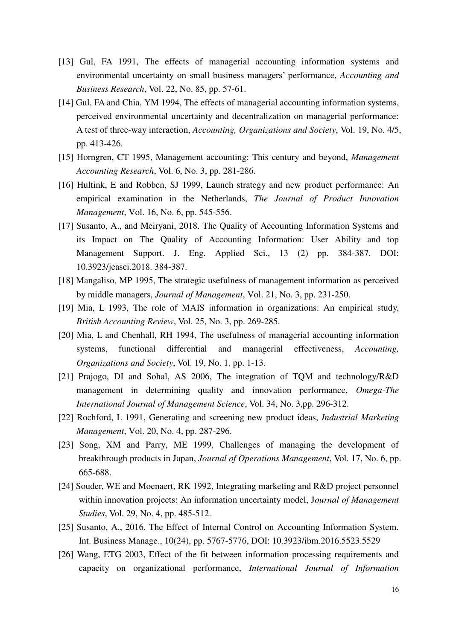- [13] Gul, FA 1991, The effects of managerial accounting information systems and environmental uncertainty on small business managers' performance, *Accounting and Business Research*, Vol. 22, No. 85, pp. 57-61.
- [14] Gul, FA and Chia, YM 1994, The effects of managerial accounting information systems, perceived environmental uncertainty and decentralization on managerial performance: A test of three-way interaction, *Accounting, Organizations and Society*, Vol. 19, No. 4/5, pp. 413-426.
- [15] Horngren, CT 1995, Management accounting: This century and beyond, *Management Accounting Research*, Vol. 6, No. 3, pp. 281-286.
- [16] Hultink, E and Robben, SJ 1999, Launch strategy and new product performance: An empirical examination in the Netherlands, *The Journal of Product Innovation Management*, Vol. 16, No. 6, pp. 545-556.
- [17] Susanto, A., and Meiryani, 2018. The Quality of Accounting Information Systems and its Impact on The Quality of Accounting Information: User Ability and top Management Support. J. Eng. Applied Sci., 13 (2) pp. 384-387. DOI: 10.3923/jeasci.2018. 384-387.
- [18] Mangaliso, MP 1995, The strategic usefulness of management information as perceived by middle managers, *Journal of Management*, Vol. 21, No. 3, pp. 231-250.
- [19] Mia, L 1993, The role of MAIS information in organizations: An empirical study, *British Accounting Review*, Vol. 25, No. 3, pp. 269-285.
- [20] Mia, L and Chenhall, RH 1994, The usefulness of managerial accounting information systems, functional differential and managerial effectiveness, *Accounting, Organizations and Society*, Vol. 19, No. 1, pp. 1-13.
- [21] Prajogo, DI and Sohal, AS 2006, The integration of TQM and technology/R&D management in determining quality and innovation performance, *Omega-The International Journal of Management Science*, Vol. 34, No. 3,pp. 296-312.
- [22] Rochford, L 1991, Generating and screening new product ideas, *Industrial Marketing Management*, Vol. 20, No. 4, pp. 287-296.
- [23] Song, XM and Parry, ME 1999, Challenges of managing the development of breakthrough products in Japan, *Journal of Operations Management*, Vol. 17, No. 6, pp. 665-688.
- [24] Souder, WE and Moenaert, RK 1992, Integrating marketing and R&D project personnel within innovation projects: An information uncertainty model, J*ournal of Management Studies*, Vol. 29, No. 4, pp. 485-512.
- [25] Susanto, A., 2016. The Effect of Internal Control on Accounting Information System. Int. Business Manage., 10(24), pp. 5767-5776, DOI: 10.3923/ibm.2016.5523.5529
- [26] Wang, ETG 2003, Effect of the fit between information processing requirements and capacity on organizational performance, *International Journal of Information*